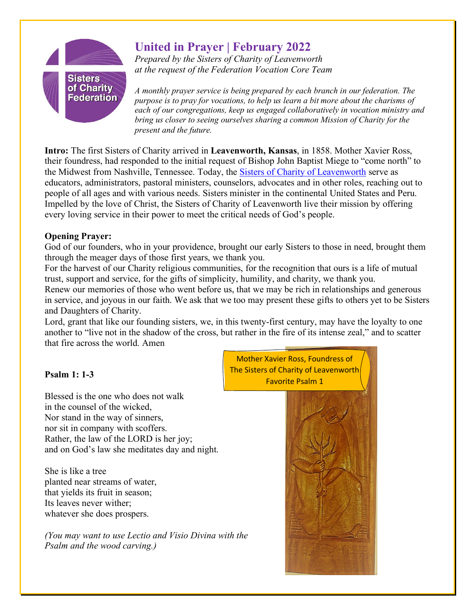

## **United in Prayer | February 2022**

*Prepared by the Sisters of Charity of Leavenworth at the request of the Federation Vocation Core Team*

*A monthly prayer service is being prepared by each branch in our federation. The purpose is to pray for vocations, to help us learn a bit more about the charisms of each of our congregations, keep us engaged collaboratively in vocation ministry and bring us closer to seeing ourselves sharing a common Mission of Charity for the present and the future.*

**Intro:** The first Sisters of Charity arrived in **Leavenworth, Kansas**, in 1858. Mother Xavier Ross, their foundress, had responded to the initial request of Bishop John Baptist Miege to "come north" to the Midwest from Nashville, Tennessee. Today, the [Sisters of Charity of Leavenworth](https://www.scls.org/) serve as educators, administrators, pastoral ministers, counselors, advocates and in other roles, reaching out to people of all ages and with various needs. Sisters minister in the continental United States and Peru. Impelled by the love of Christ, the Sisters of Charity of Leavenworth live their mission by offering every loving service in their power to meet the critical needs of God's people.

## **Opening Prayer:**

God of our founders, who in your providence, brought our early Sisters to those in need, brought them through the meager days of those first years, we thank you.

For the harvest of our Charity religious communities, for the recognition that ours is a life of mutual trust, support and service, for the gifts of simplicity, humility, and charity, we thank you.

Renew our memories of those who went before us, that we may be rich in relationships and generous in service, and joyous in our faith. We ask that we too may present these gifts to others yet to be Sisters and Daughters of Charity.

Lord, grant that like our founding sisters, we, in this twenty-first century, may have the loyalty to one another to "live not in the shadow of the cross, but rather in the fire of its intense zeal," and to scatter that fire across the world. Amen

## **Psalm 1: 1-3**

Blessed is the one who does not walk in the counsel of the wicked, Nor stand in the way of sinners, nor sit in company with scoffers. Rather, the law of the LORD is her joy; and on God's law she meditates day and night.

She is like a tree planted near streams of water, that yields its fruit in season; Its leaves never wither; whatever she does prospers.

*(You may want to use Lectio and Visio Divina with the Psalm and the wood carving.)*

Mother Xavier Ross, Foundress of The Sisters of Charity of Leavenworth Favorite Psalm 1